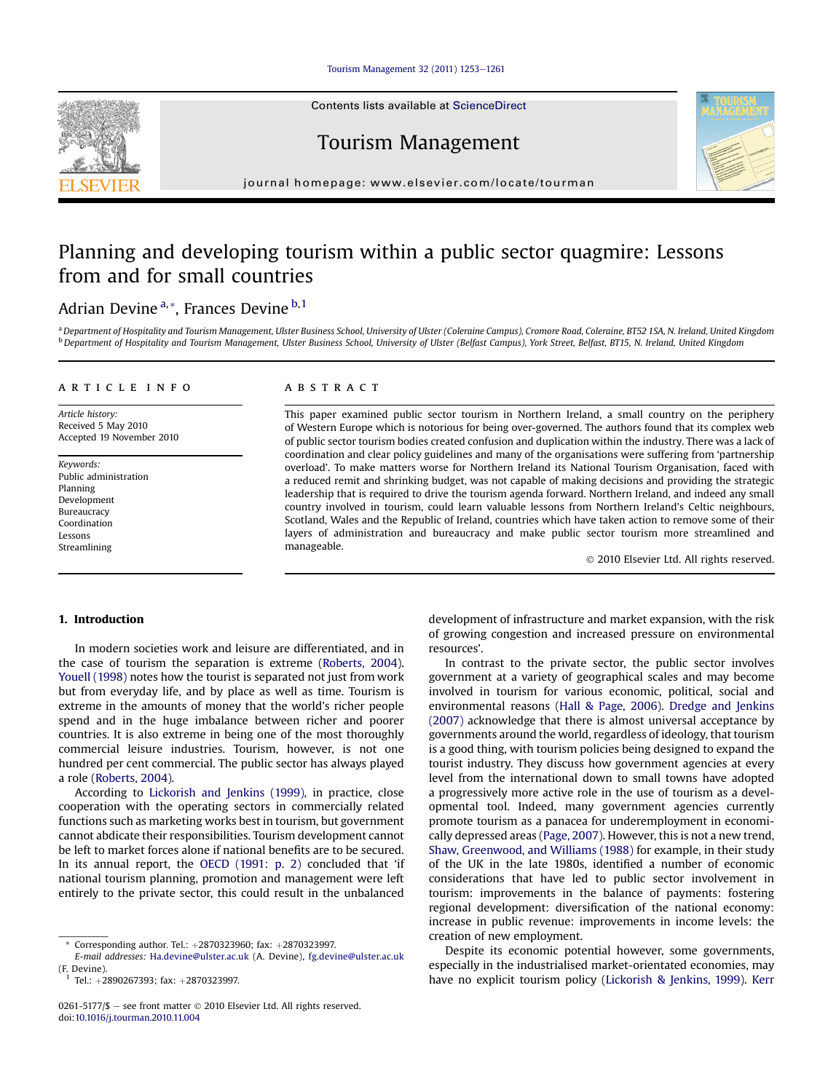#### [Tourism Management 32 \(2011\) 1253](http://dx.doi.org/10.1016/j.tourman.2010.11.004)-[1261](http://dx.doi.org/10.1016/j.tourman.2010.11.004)

Contents lists available at ScienceDirect

Tourism Management

journal homepage: [www.elsevier.com/locate/tourman](http://www.elsevier.com/locate/tourman)

## Planning and developing tourism within a public sector quagmire: Lessons from and for small countries

Adrian Devine<sup>a,\*</sup>, Frances Devine<sup>b,1</sup>

a Department of Hospitality and Tourism Management, Ulster Business School, University of Ulster (Coleraine Campus), Cromore Road, Coleraine, BT52 1SA, N. Ireland, United Kingdom <sup>b</sup> Department of Hospitality and Tourism Management, Ulster Business School, University of Ulster (Belfast Campus), York Street, Belfast, BT15, N. Ireland, United Kingdom

#### article info

Article history: Received 5 May 2010 Accepted 19 November 2010

Keywords: Public administration Planning Development Bureaucracy Coordination Lessons Streamlining

### **ABSTRACT**

This paper examined public sector tourism in Northern Ireland, a small country on the periphery of Western Europe which is notorious for being over-governed. The authors found that its complex web of public sector tourism bodies created confusion and duplication within the industry. There was a lack of coordination and clear policy guidelines and many of the organisations were suffering from 'partnership overload'. To make matters worse for Northern Ireland its National Tourism Organisation, faced with a reduced remit and shrinking budget, was not capable of making decisions and providing the strategic leadership that is required to drive the tourism agenda forward. Northern Ireland, and indeed any small country involved in tourism, could learn valuable lessons from Northern Ireland's Celtic neighbours, Scotland, Wales and the Republic of Ireland, countries which have taken action to remove some of their layers of administration and bureaucracy and make public sector tourism more streamlined and manageable.

2010 Elsevier Ltd. All rights reserved.

## 1. Introduction

In modern societies work and leisure are differentiated, and in the case of tourism the separation is extreme ([Roberts, 2004\)](#page--1-0). [Youell \(1998\)](#page--1-0) notes how the tourist is separated not just from work but from everyday life, and by place as well as time. Tourism is extreme in the amounts of money that the world's richer people spend and in the huge imbalance between richer and poorer countries. It is also extreme in being one of the most thoroughly commercial leisure industries. Tourism, however, is not one hundred per cent commercial. The public sector has always played a role [\(Roberts, 2004\)](#page--1-0).

According to [Lickorish and Jenkins \(1999\)](#page--1-0), in practice, close cooperation with the operating sectors in commercially related functions such as marketing works best in tourism, but government cannot abdicate their responsibilities. Tourism development cannot be left to market forces alone if national benefits are to be secured. In its annual report, the [OECD \(1991: p. 2\)](#page--1-0) concluded that 'if national tourism planning, promotion and management were left entirely to the private sector, this could result in the unbalanced

development of infrastructure and market expansion, with the risk of growing congestion and increased pressure on environmental resources'.

In contrast to the private sector, the public sector involves government at a variety of geographical scales and may become involved in tourism for various economic, political, social and environmental reasons [\(Hall & Page, 2006\)](#page--1-0). [Dredge and Jenkins](#page--1-0) [\(2007\)](#page--1-0) acknowledge that there is almost universal acceptance by governments around the world, regardless of ideology, that tourism is a good thing, with tourism policies being designed to expand the tourist industry. They discuss how government agencies at every level from the international down to small towns have adopted a progressively more active role in the use of tourism as a developmental tool. Indeed, many government agencies currently promote tourism as a panacea for underemployment in economically depressed areas ([Page, 2007\)](#page--1-0). However, this is not a new trend, [Shaw, Greenwood, and Williams \(1988\)](#page--1-0) for example, in their study of the UK in the late 1980s, identified a number of economic considerations that have led to public sector involvement in tourism: improvements in the balance of payments: fostering regional development: diversification of the national economy: increase in public revenue: improvements in income levels: the creation of new employment.

Despite its economic potential however, some governments, especially in the industrialised market-orientated economies, may have no explicit tourism policy [\(Lickorish & Jenkins, 1999\)](#page--1-0). [Kerr](#page--1-0)





Corresponding author. Tel.:  $+ 2870323960$ ; fax:  $+ 2870323997$ .

E-mail addresses: [Ha.devine@ulster.ac.uk](mailto:Ha.devine@ulster.ac.uk) (A. Devine), [fg.devine@ulster.ac.uk](mailto:fg.devine@ulster.ac.uk) (F. Devine).

Tel.: +2890267393; fax: +2870323997.

<sup>0261-5177/\$</sup>  $-$  see front matter  $\odot$  2010 Elsevier Ltd. All rights reserved. doi[:10.1016/j.tourman.2010.11.004](http://dx.doi.org/10.1016/j.tourman.2010.11.004)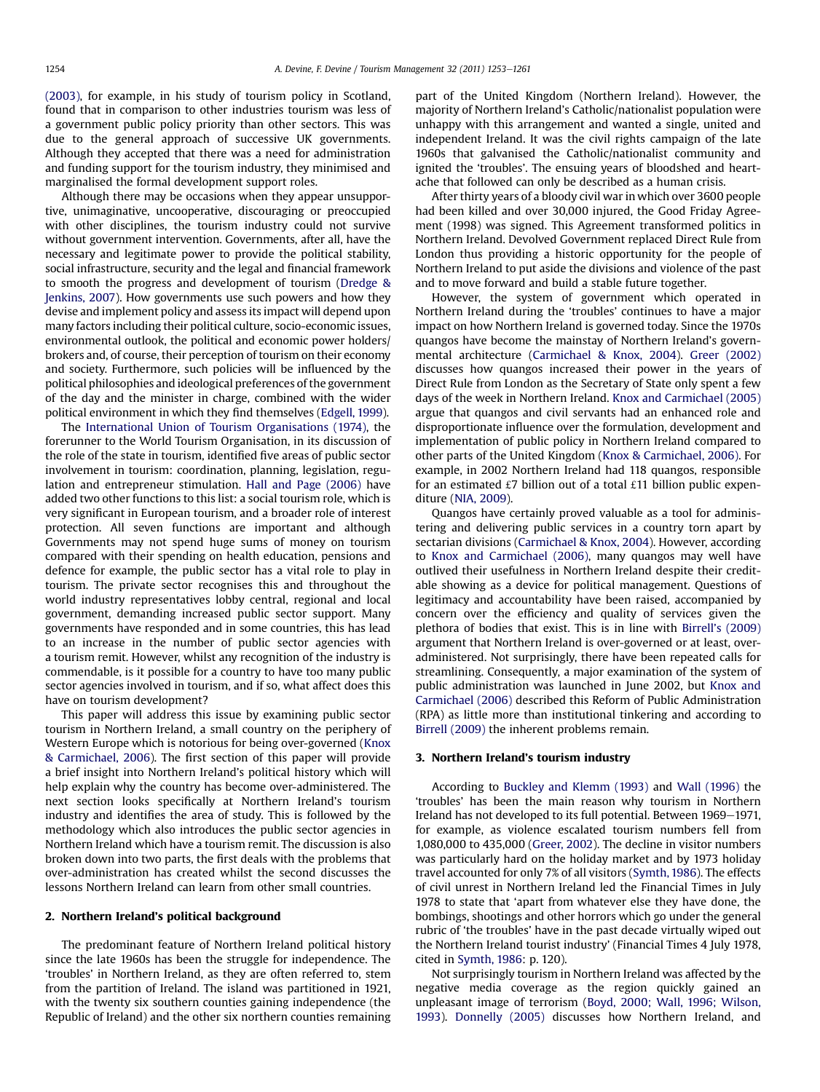[\(2003\)](#page--1-0), for example, in his study of tourism policy in Scotland, found that in comparison to other industries tourism was less of a government public policy priority than other sectors. This was due to the general approach of successive UK governments. Although they accepted that there was a need for administration and funding support for the tourism industry, they minimised and marginalised the formal development support roles.

Although there may be occasions when they appear unsupportive, unimaginative, uncooperative, discouraging or preoccupied with other disciplines, the tourism industry could not survive without government intervention. Governments, after all, have the necessary and legitimate power to provide the political stability, social infrastructure, security and the legal and financial framework to smooth the progress and development of tourism [\(Dredge &](#page--1-0) [Jenkins, 2007\)](#page--1-0). How governments use such powers and how they devise and implement policy and assess its impact will depend upon many factors including their political culture, socio-economic issues, environmental outlook, the political and economic power holders/ brokers and, of course, their perception of tourism on their economy and society. Furthermore, such policies will be influenced by the political philosophies and ideological preferences of the government of the day and the minister in charge, combined with the wider political environment in which they find themselves [\(Edgell, 1999\)](#page--1-0).

The [International Union of Tourism Organisations \(1974\)](#page--1-0), the forerunner to the World Tourism Organisation, in its discussion of the role of the state in tourism, identified five areas of public sector involvement in tourism: coordination, planning, legislation, regulation and entrepreneur stimulation. [Hall and Page \(2006\)](#page--1-0) have added two other functions to this list: a social tourism role, which is very significant in European tourism, and a broader role of interest protection. All seven functions are important and although Governments may not spend huge sums of money on tourism compared with their spending on health education, pensions and defence for example, the public sector has a vital role to play in tourism. The private sector recognises this and throughout the world industry representatives lobby central, regional and local government, demanding increased public sector support. Many governments have responded and in some countries, this has lead to an increase in the number of public sector agencies with a tourism remit. However, whilst any recognition of the industry is commendable, is it possible for a country to have too many public sector agencies involved in tourism, and if so, what affect does this have on tourism development?

This paper will address this issue by examining public sector tourism in Northern Ireland, a small country on the periphery of Western Europe which is notorious for being over-governed [\(Knox](#page--1-0) [& Carmichael, 2006](#page--1-0)). The first section of this paper will provide a brief insight into Northern Ireland's political history which will help explain why the country has become over-administered. The next section looks specifically at Northern Ireland's tourism industry and identifies the area of study. This is followed by the methodology which also introduces the public sector agencies in Northern Ireland which have a tourism remit. The discussion is also broken down into two parts, the first deals with the problems that over-administration has created whilst the second discusses the lessons Northern Ireland can learn from other small countries.

### 2. Northern Ireland's political background

The predominant feature of Northern Ireland political history since the late 1960s has been the struggle for independence. The 'troubles' in Northern Ireland, as they are often referred to, stem from the partition of Ireland. The island was partitioned in 1921, with the twenty six southern counties gaining independence (the Republic of Ireland) and the other six northern counties remaining part of the United Kingdom (Northern Ireland). However, the majority of Northern Ireland's Catholic/nationalist population were unhappy with this arrangement and wanted a single, united and independent Ireland. It was the civil rights campaign of the late 1960s that galvanised the Catholic/nationalist community and ignited the 'troubles'. The ensuing years of bloodshed and heartache that followed can only be described as a human crisis.

After thirty years of a bloody civil war in which over 3600 people had been killed and over 30,000 injured, the Good Friday Agreement (1998) was signed. This Agreement transformed politics in Northern Ireland. Devolved Government replaced Direct Rule from London thus providing a historic opportunity for the people of Northern Ireland to put aside the divisions and violence of the past and to move forward and build a stable future together.

However, the system of government which operated in Northern Ireland during the 'troubles' continues to have a major impact on how Northern Ireland is governed today. Since the 1970s quangos have become the mainstay of Northern Ireland's governmental architecture [\(Carmichael & Knox, 2004](#page--1-0)). [Greer \(2002\)](#page--1-0) discusses how quangos increased their power in the years of Direct Rule from London as the Secretary of State only spent a few days of the week in Northern Ireland. [Knox and Carmichael \(2005\)](#page--1-0) argue that quangos and civil servants had an enhanced role and disproportionate influence over the formulation, development and implementation of public policy in Northern Ireland compared to other parts of the United Kingdom ([Knox & Carmichael, 2006\).](#page--1-0) For example, in 2002 Northern Ireland had 118 quangos, responsible for an estimated  $£7$  billion out of a total £11 billion public expenditure [\(NIA, 2009\)](#page--1-0).

Quangos have certainly proved valuable as a tool for administering and delivering public services in a country torn apart by sectarian divisions ([Carmichael & Knox, 2004\)](#page--1-0). However, according to [Knox and Carmichael \(2006\)](#page--1-0), many quangos may well have outlived their usefulness in Northern Ireland despite their creditable showing as a device for political management. Questions of legitimacy and accountability have been raised, accompanied by concern over the efficiency and quality of services given the plethora of bodies that exist. This is in line with Birrell'[s \(2009\)](#page--1-0) argument that Northern Ireland is over-governed or at least, overadministered. Not surprisingly, there have been repeated calls for streamlining. Consequently, a major examination of the system of public administration was launched in June 2002, but [Knox and](#page--1-0) [Carmichael \(2006\)](#page--1-0) described this Reform of Public Administration (RPA) as little more than institutional tinkering and according to [Birrell \(2009\)](#page--1-0) the inherent problems remain.

#### 3. Northern Ireland's tourism industry

According to [Buckley and Klemm \(1993\)](#page--1-0) and [Wall \(1996\)](#page--1-0) the 'troubles' has been the main reason why tourism in Northern Ireland has not developed to its full potential. Between 1969-1971, for example, as violence escalated tourism numbers fell from 1,080,000 to 435,000 ([Greer, 2002\)](#page--1-0). The decline in visitor numbers was particularly hard on the holiday market and by 1973 holiday travel accounted for only 7% of all visitors [\(Symth, 1986\)](#page--1-0). The effects of civil unrest in Northern Ireland led the Financial Times in July 1978 to state that 'apart from whatever else they have done, the bombings, shootings and other horrors which go under the general rubric of 'the troubles' have in the past decade virtually wiped out the Northern Ireland tourist industry' (Financial Times 4 July 1978, cited in [Symth, 1986](#page--1-0): p. 120).

Not surprisingly tourism in Northern Ireland was affected by the negative media coverage as the region quickly gained an unpleasant image of terrorism ([Boyd, 2000; Wall, 1996; Wilson,](#page--1-0) [1993](#page--1-0)). [Donnelly \(2005\)](#page--1-0) discusses how Northern Ireland, and